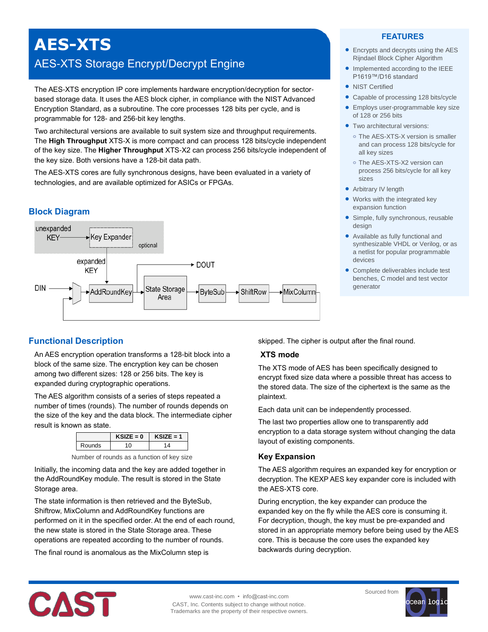# **AES-XTS** AES-XTS Storage Encrypt/Decrypt Engine

The AES-XTS encryption IP core implements hardware encryption/decryption for sectorbased storage data. It uses the AES block cipher, in compliance with the NIST Advanced Encryption Standard, as a subroutine. The core processes 128 bits per cycle, and is programmable for 128- and 256-bit key lengths.

Two architectural versions are available to suit system size and throughput requirements. The **High Throughput** XTS-X is more compact and can process 128 bits/cycle independent of the key size. The **Higher Throughput** XTS-X2 can process 256 bits/cycle independent of the key size. Both versions have a 128-bit data path.

The AES-XTS cores are fully synchronous designs, have been evaluated in a variety of technologies, and are available optimized for ASICs or FPGAs.

# **Block Diagram**



# **FEATURES**

- Encrypts and decrypts using the AES Rijndael Block Cipher Algorithm
- Implemented according to the IEEE P1619™/D16 standard
- NIST Certified
- Capable of processing 128 bits/cycle
- **•** Employs user-programmable key size of 128 or 256 bits
- **Two architectural versions:** 
	- **o** The AES-XTS-X version is smaller and can process 128 bits/cycle for all key sizes
	- **o** The AES-XTS-X2 version can process 256 bits/cycle for all key sizes
- Arbitrary IV length
- Works with the integrated key expansion function
- Simple, fully synchronous, reusable design
- Available as fully functional and synthesizable VHDL or Verilog, or as a netlist for popular programmable devices
- Complete deliverables include test benches, C model and test vector generator

# **Functional Description**

An AES encryption operation transforms a 128-bit block into a block of the same size. The encryption key can be chosen among two different sizes: 128 or 256 bits. The key is expanded during cryptographic operations.

The AES algorithm consists of a series of steps repeated a number of times (rounds). The number of rounds depends on the size of the key and the data block. The intermediate cipher result is known as state.

|     |        |  | $KSIZE = 0$ | $KSIZE = 1$ |  |  |
|-----|--------|--|-------------|-------------|--|--|
|     | Rounds |  |             |             |  |  |
| . . |        |  |             | . .         |  |  |

Number of rounds as a function of key size

Initially, the incoming data and the key are added together in the AddRoundKey module. The result is stored in the State Storage area.

The state information is then retrieved and the ByteSub, Shiftrow, MixColumn and AddRoundKey functions are performed on it in the specified order. At the end of each round, the new state is stored in the State Storage area. These operations are repeated according to the number of rounds.

The final round is anomalous as the MixColumn step is

skipped. The cipher is output after the final round.

#### **XTS mode**

The XTS mode of AES has been specifically designed to encrypt fixed size data where a possible threat has access to the stored data. The size of the ciphertext is the same as the plaintext.

Each data unit can be independently processed.

The last two properties allow one to transparently add encryption to a data storage system without changing the data layout of existing components.

# **Key Expansion**

The AES algorithm requires an expanded key for encryption or decryption. The KEXP AES key expander core is included with the AES-XTS core.

During encryption, the key expander can produce the expanded key on the fly while the AES core is consuming it. For decryption, though, the key must be pre-expanded and stored in an appropriate memory before being used by the AES core. This is because the core uses the expanded key backwards during decryption.



www.cast-inc.com • info@cast-inc.com CAST, Inc. Contents subject to change without notice. Trademarks are the property of their respective owners.